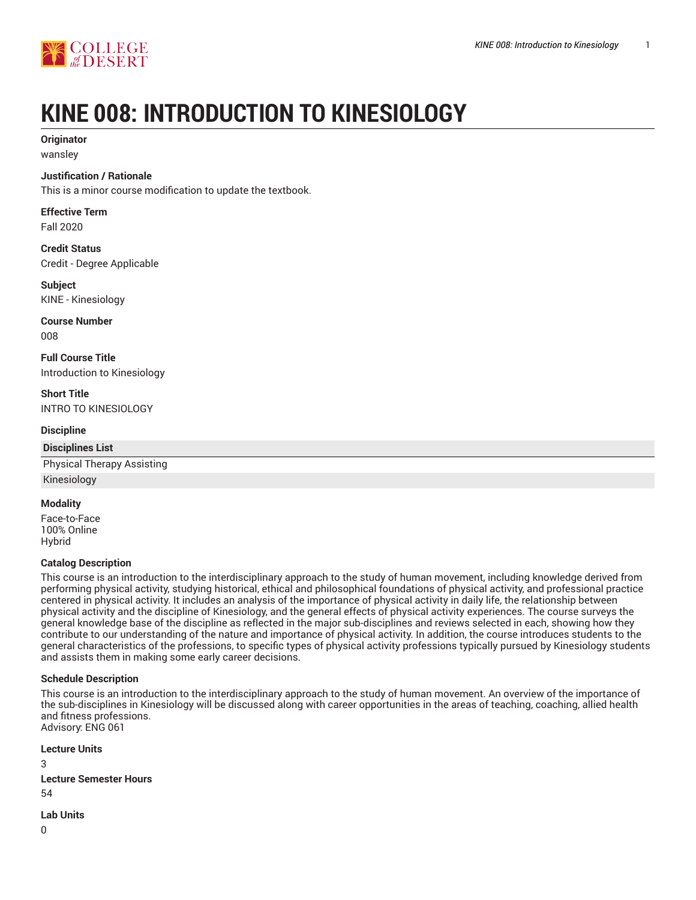

# **KINE 008: INTRODUCTION TO KINESIOLOGY**

## **Originator**

wansley

#### **Justification / Rationale**

This is a minor course modification to update the textbook.

## **Effective Term**

Fall 2020

**Credit Status** Credit - Degree Applicable

#### **Subject** KINE - Kinesiology

**Course Number** 008

**Full Course Title** Introduction to Kinesiology

**Short Title** INTRO TO KINESIOLOGY

#### **Discipline**

## **Disciplines List** Physical Therapy Assisting

Kinesiology

#### **Modality**

Face-to-Face 100% Online Hybrid

#### **Catalog Description**

This course is an introduction to the interdisciplinary approach to the study of human movement, including knowledge derived from performing physical activity, studying historical, ethical and philosophical foundations of physical activity, and professional practice centered in physical activity. It includes an analysis of the importance of physical activity in daily life, the relationship between physical activity and the discipline of Kinesiology, and the general effects of physical activity experiences. The course surveys the general knowledge base of the discipline as reflected in the major sub-disciplines and reviews selected in each, showing how they contribute to our understanding of the nature and importance of physical activity. In addition, the course introduces students to the general characteristics of the professions, to specific types of physical activity professions typically pursued by Kinesiology students and assists them in making some early career decisions.

#### **Schedule Description**

This course is an introduction to the interdisciplinary approach to the study of human movement. An overview of the importance of the sub-disciplines in Kinesiology will be discussed along with career opportunities in the areas of teaching, coaching, allied health and fitness professions. Advisory: ENG 061

```
Lecture Units
3
Lecture Semester Hours
54
```
**Lab Units**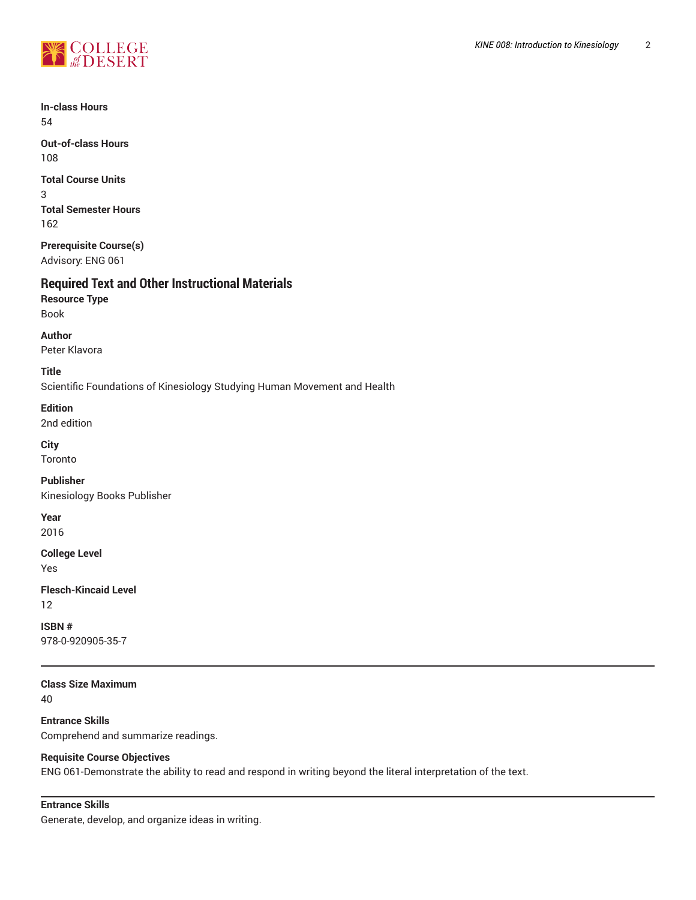

**In-class Hours** 54

**Out-of-class Hours** 108

**Total Course Units** 3 **Total Semester Hours** 162

**Prerequisite Course(s)** Advisory: ENG 061

## **Required Text and Other Instructional Materials**

**Resource Type** Book

**Author**

Peter Klavora

**Title**

Scientific Foundations of Kinesiology Studying Human Movement and Health

**Edition**

2nd edition

**City**

Toronto

**Publisher**

Kinesiology Books Publisher

**Year**

2016

**College Level**

Yes

**Flesch-Kincaid Level** 12

**ISBN #** 978-0-920905-35-7

**Class Size Maximum**

40

**Entrance Skills** Comprehend and summarize readings.

## **Requisite Course Objectives**

ENG 061-Demonstrate the ability to read and respond in writing beyond the literal interpretation of the text.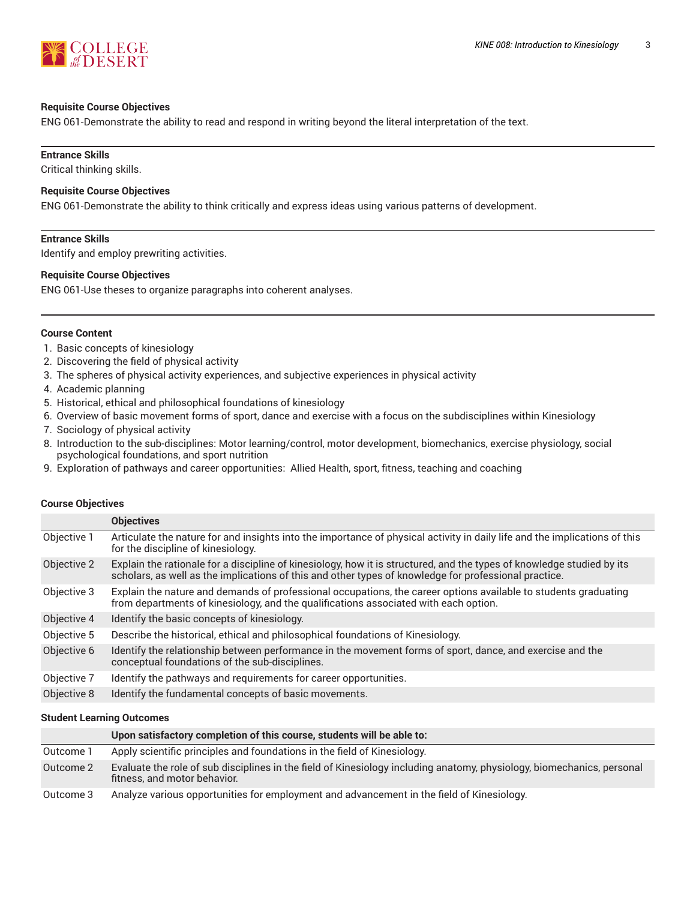

#### **Requisite Course Objectives**

ENG 061-Demonstrate the ability to read and respond in writing beyond the literal interpretation of the text.

## **Entrance Skills**

Critical thinking skills.

#### **Requisite Course Objectives**

ENG 061-Demonstrate the ability to think critically and express ideas using various patterns of development.

#### **Entrance Skills**

Identify and employ prewriting activities.

#### **Requisite Course Objectives**

ENG 061-Use theses to organize paragraphs into coherent analyses.

#### **Course Content**

- 1. Basic concepts of kinesiology
- 2. Discovering the field of physical activity
- 3. The spheres of physical activity experiences, and subjective experiences in physical activity
- 4. Academic planning
- 5. Historical, ethical and philosophical foundations of kinesiology
- 6. Overview of basic movement forms of sport, dance and exercise with a focus on the subdisciplines within Kinesiology
- 7. Sociology of physical activity
- 8. Introduction to the sub-disciplines: Motor learning/control, motor development, biomechanics, exercise physiology, social psychological foundations, and sport nutrition
- 9. Exploration of pathways and career opportunities: Allied Health, sport, fitness, teaching and coaching

#### **Course Objectives**

|             | <b>Objectives</b>                                                                                                                                                                                                               |
|-------------|---------------------------------------------------------------------------------------------------------------------------------------------------------------------------------------------------------------------------------|
| Objective 1 | Articulate the nature for and insights into the importance of physical activity in daily life and the implications of this<br>for the discipline of kinesiology.                                                                |
| Objective 2 | Explain the rationale for a discipline of kinesiology, how it is structured, and the types of knowledge studied by its<br>scholars, as well as the implications of this and other types of knowledge for professional practice. |
| Objective 3 | Explain the nature and demands of professional occupations, the career options available to students graduating<br>from departments of kinesiology, and the qualifications associated with each option.                         |
| Objective 4 | Identify the basic concepts of kinesiology.                                                                                                                                                                                     |
| Objective 5 | Describe the historical, ethical and philosophical foundations of Kinesiology.                                                                                                                                                  |
| Objective 6 | Identify the relationship between performance in the movement forms of sport, dance, and exercise and the<br>conceptual foundations of the sub-disciplines.                                                                     |
| Objective 7 | Identify the pathways and requirements for career opportunities.                                                                                                                                                                |
| Objective 8 | Identify the fundamental concepts of basic movements.                                                                                                                                                                           |

#### **Student Learning Outcomes**

|           | Upon satisfactory completion of this course, students will be able to:                                                                                 |
|-----------|--------------------------------------------------------------------------------------------------------------------------------------------------------|
| Outcome 1 | Apply scientific principles and foundations in the field of Kinesiology.                                                                               |
| Outcome 2 | Evaluate the role of sub disciplines in the field of Kinesiology including anatomy, physiology, biomechanics, personal<br>fitness, and motor behavior. |
| Outcome 3 | Analyze various opportunities for employment and advancement in the field of Kinesiology.                                                              |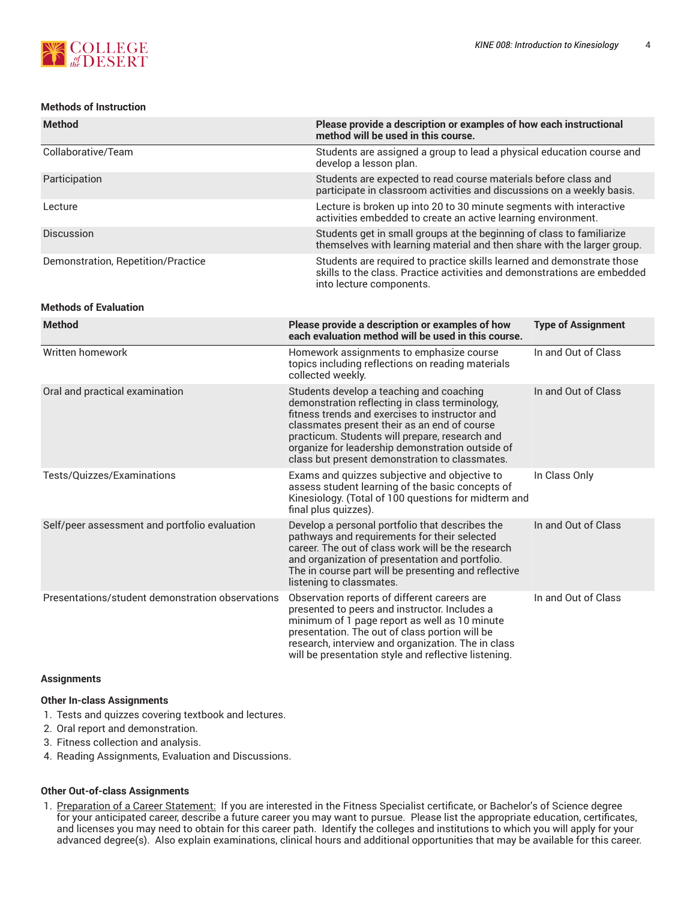#### **Methods of Instruction**

| <b>Method</b>                      | Please provide a description or examples of how each instructional<br>method will be used in this course.                                                                      |
|------------------------------------|--------------------------------------------------------------------------------------------------------------------------------------------------------------------------------|
| Collaborative/Team                 | Students are assigned a group to lead a physical education course and<br>develop a lesson plan.                                                                                |
| Participation                      | Students are expected to read course materials before class and<br>participate in classroom activities and discussions on a weekly basis.                                      |
| Lecture                            | Lecture is broken up into 20 to 30 minute segments with interactive<br>activities embedded to create an active learning environment.                                           |
| <b>Discussion</b>                  | Students get in small groups at the beginning of class to familiarize<br>themselves with learning material and then share with the larger group.                               |
| Demonstration, Repetition/Practice | Students are required to practice skills learned and demonstrate those<br>skills to the class. Practice activities and demonstrations are embedded<br>into lecture components. |

#### **Methods of Evaluation**

| <b>Method</b>                                    | Please provide a description or examples of how<br>each evaluation method will be used in this course.                                                                                                                                                                                                                                               | <b>Type of Assignment</b> |
|--------------------------------------------------|------------------------------------------------------------------------------------------------------------------------------------------------------------------------------------------------------------------------------------------------------------------------------------------------------------------------------------------------------|---------------------------|
| Written homework                                 | Homework assignments to emphasize course<br>topics including reflections on reading materials<br>collected weekly.                                                                                                                                                                                                                                   | In and Out of Class       |
| Oral and practical examination                   | Students develop a teaching and coaching<br>demonstration reflecting in class terminology,<br>fitness trends and exercises to instructor and<br>classmates present their as an end of course<br>practicum. Students will prepare, research and<br>organize for leadership demonstration outside of<br>class but present demonstration to classmates. | In and Out of Class       |
| Tests/Quizzes/Examinations                       | Exams and quizzes subjective and objective to<br>assess student learning of the basic concepts of<br>Kinesiology. (Total of 100 questions for midterm and<br>final plus quizzes).                                                                                                                                                                    | In Class Only             |
| Self/peer assessment and portfolio evaluation    | Develop a personal portfolio that describes the<br>pathways and requirements for their selected<br>career. The out of class work will be the research<br>and organization of presentation and portfolio.<br>The in course part will be presenting and reflective<br>listening to classmates.                                                         | In and Out of Class       |
| Presentations/student demonstration observations | Observation reports of different careers are<br>presented to peers and instructor. Includes a<br>minimum of 1 page report as well as 10 minute<br>presentation. The out of class portion will be<br>research, interview and organization. The in class<br>will be presentation style and reflective listening.                                       | In and Out of Class       |

#### **Assignments**

#### **Other In-class Assignments**

- 1. Tests and quizzes covering textbook and lectures.
- 2. Oral report and demonstration.
- 3. Fitness collection and analysis.
- 4. Reading Assignments, Evaluation and Discussions.

#### **Other Out-of-class Assignments**

1. Preparation of a Career Statement: If you are interested in the Fitness Specialist certificate, or Bachelor's of Science degree for your anticipated career, describe a future career you may want to pursue. Please list the appropriate education, certificates, and licenses you may need to obtain for this career path. Identify the colleges and institutions to which you will apply for your advanced degree(s). Also explain examinations, clinical hours and additional opportunities that may be available for this career.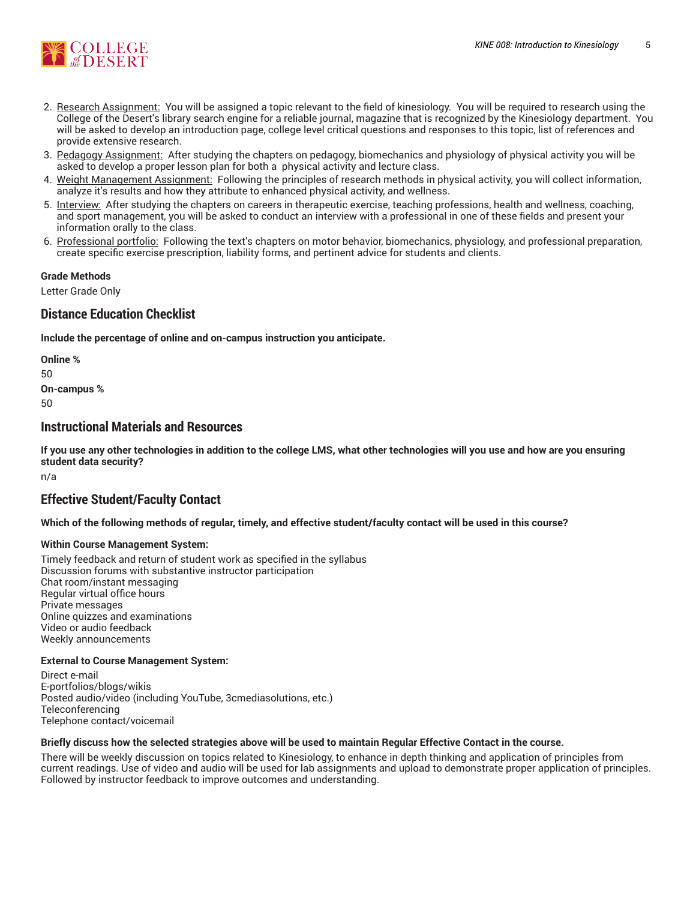

- 2. Research Assignment: You will be assigned a topic relevant to the field of kinesiology. You will be required to research using the College of the Desert's library search engine for a reliable journal, magazine that is recognized by the Kinesiology department. You will be asked to develop an introduction page, college level critical questions and responses to this topic, list of references and provide extensive research.
- 3. Pedagogy Assignment: After studying the chapters on pedagogy, biomechanics and physiology of physical activity you will be asked to develop a proper lesson plan for both a physical activity and lecture class.
- 4. Weight Management Assignment: Following the principles of research methods in physical activity, you will collect information, analyze it's results and how they attribute to enhanced physical activity, and wellness.
- 5. Interview: After studying the chapters on careers in therapeutic exercise, teaching professions, health and wellness, coaching, and sport management, you will be asked to conduct an interview with a professional in one of these fields and present your information orally to the class.
- 6. Professional portfolio: Following the text's chapters on motor behavior, biomechanics, physiology, and professional preparation, create specific exercise prescription, liability forms, and pertinent advice for students and clients.

#### **Grade Methods**

Letter Grade Only

## **Distance Education Checklist**

**Include the percentage of online and on-campus instruction you anticipate.**

**Online %** 50 **On-campus %** 50

## **Instructional Materials and Resources**

If you use any other technologies in addition to the college LMS, what other technologies will you use and how are you ensuring **student data security?**

n/a

## **Effective Student/Faculty Contact**

Which of the following methods of regular, timely, and effective student/faculty contact will be used in this course?

#### **Within Course Management System:**

Timely feedback and return of student work as specified in the syllabus Discussion forums with substantive instructor participation Chat room/instant messaging Regular virtual office hours Private messages Online quizzes and examinations Video or audio feedback Weekly announcements

#### **External to Course Management System:**

Direct e-mail E-portfolios/blogs/wikis Posted audio/video (including YouTube, 3cmediasolutions, etc.) Teleconferencing Telephone contact/voicemail

#### Briefly discuss how the selected strategies above will be used to maintain Regular Effective Contact in the course.

There will be weekly discussion on topics related to Kinesiology, to enhance in depth thinking and application of principles from current readings. Use of video and audio will be used for lab assignments and upload to demonstrate proper application of principles. Followed by instructor feedback to improve outcomes and understanding.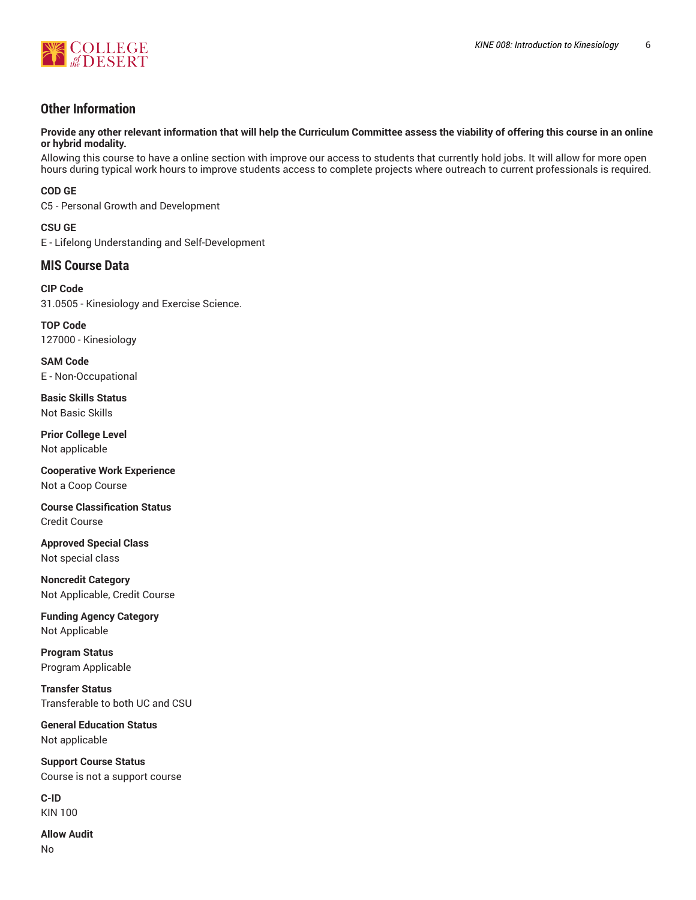

## **Other Information**

Provide any other relevant information that will help the Curriculum Committee assess the viability of offering this course in an online **or hybrid modality.**

Allowing this course to have a online section with improve our access to students that currently hold jobs. It will allow for more open hours during typical work hours to improve students access to complete projects where outreach to current professionals is required.

**COD GE**

C5 - Personal Growth and Development

**CSU GE** E - Lifelong Understanding and Self-Development

## **MIS Course Data**

**CIP Code** 31.0505 - Kinesiology and Exercise Science.

**TOP Code** 127000 - Kinesiology

**SAM Code** E - Non-Occupational

**Basic Skills Status** Not Basic Skills

**Prior College Level** Not applicable

**Cooperative Work Experience** Not a Coop Course

**Course Classification Status** Credit Course

**Approved Special Class** Not special class

**Noncredit Category** Not Applicable, Credit Course

**Funding Agency Category** Not Applicable

**Program Status** Program Applicable

**Transfer Status** Transferable to both UC and CSU

**General Education Status** Not applicable

**Support Course Status** Course is not a support course

**C-ID** KIN 100

**Allow Audit** No